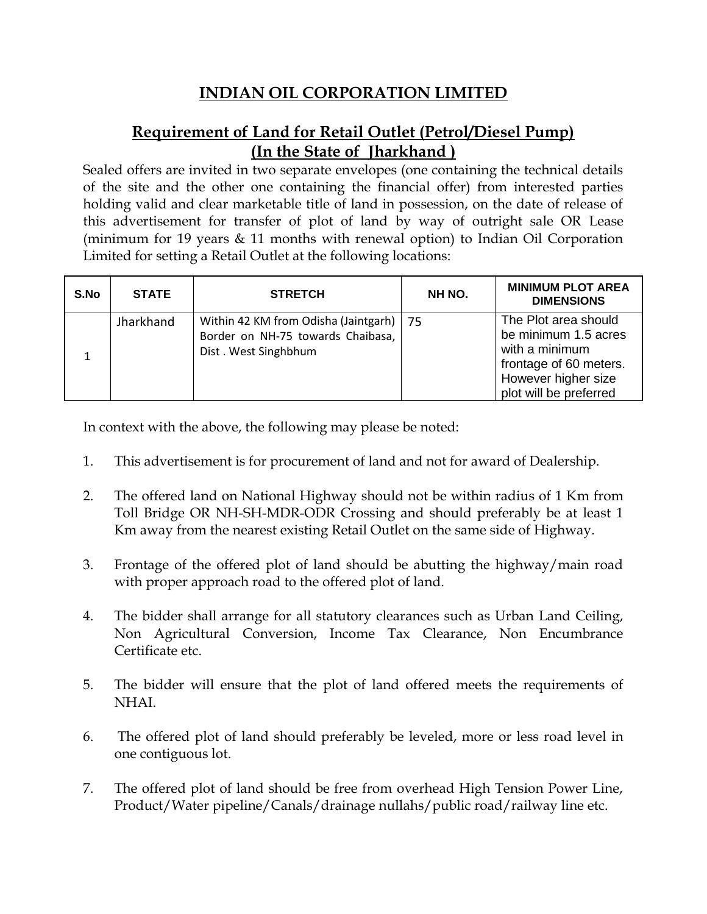# **INDIAN OIL CORPORATION LIMITED**

## **Requirement of Land for Retail Outlet (Petrol/Diesel Pump) (In the State of Jharkhand )**

Sealed offers are invited in two separate envelopes (one containing the technical details of the site and the other one containing the financial offer) from interested parties holding valid and clear marketable title of land in possession, on the date of release of this advertisement for transfer of plot of land by way of outright sale OR Lease (minimum for 19 years & 11 months with renewal option) to Indian Oil Corporation Limited for setting a Retail Outlet at the following locations:

| S.No | <b>STATE</b> | <b>STRETCH</b>                                                                                    | NH NO. | <b>MINIMUM PLOT AREA</b><br><b>DIMENSIONS</b>                                                                                             |
|------|--------------|---------------------------------------------------------------------------------------------------|--------|-------------------------------------------------------------------------------------------------------------------------------------------|
|      | Jharkhand    | Within 42 KM from Odisha (Jaintgarh)<br>Border on NH-75 towards Chaibasa,<br>Dist. West Singhbhum | 75     | The Plot area should<br>be minimum 1.5 acres<br>with a minimum<br>frontage of 60 meters.<br>However higher size<br>plot will be preferred |

In context with the above, the following may please be noted:

- 1. This advertisement is for procurement of land and not for award of Dealership.
- 2. The offered land on National Highway should not be within radius of 1 Km from Toll Bridge OR NH-SH-MDR-ODR Crossing and should preferably be at least 1 Km away from the nearest existing Retail Outlet on the same side of Highway.
- 3. Frontage of the offered plot of land should be abutting the highway/main road with proper approach road to the offered plot of land.
- 4. The bidder shall arrange for all statutory clearances such as Urban Land Ceiling, Non Agricultural Conversion, Income Tax Clearance, Non Encumbrance Certificate etc.
- 5. The bidder will ensure that the plot of land offered meets the requirements of NHAI.
- 6. The offered plot of land should preferably be leveled, more or less road level in one contiguous lot.
- 7. The offered plot of land should be free from overhead High Tension Power Line, Product/Water pipeline/Canals/drainage nullahs/public road/railway line etc.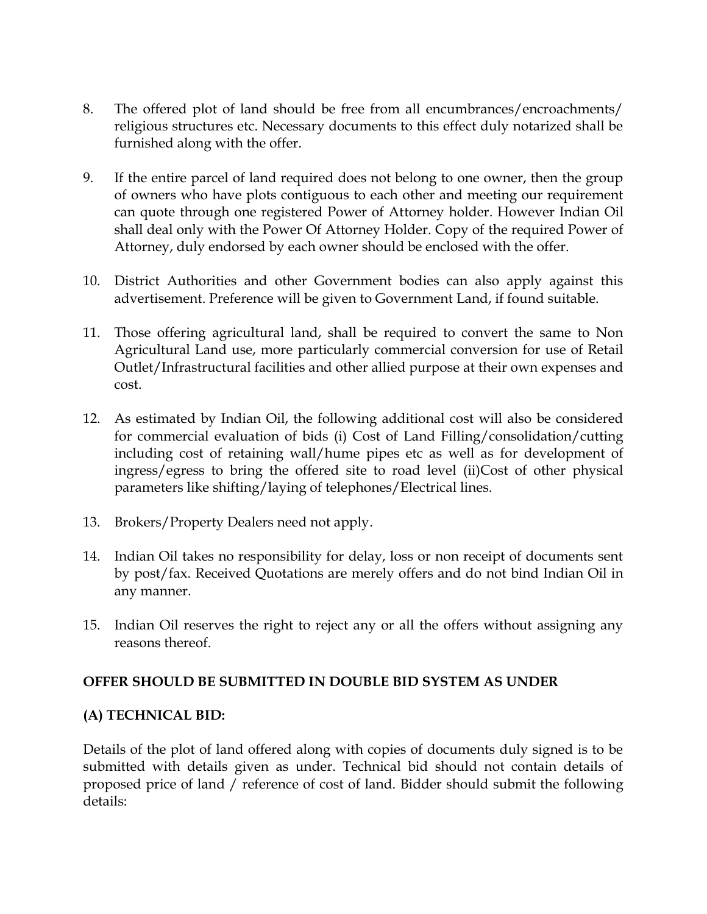- 8. The offered plot of land should be free from all encumbrances/encroachments/ religious structures etc. Necessary documents to this effect duly notarized shall be furnished along with the offer.
- 9. If the entire parcel of land required does not belong to one owner, then the group of owners who have plots contiguous to each other and meeting our requirement can quote through one registered Power of Attorney holder. However Indian Oil shall deal only with the Power Of Attorney Holder. Copy of the required Power of Attorney, duly endorsed by each owner should be enclosed with the offer.
- 10. District Authorities and other Government bodies can also apply against this advertisement. Preference will be given to Government Land, if found suitable.
- 11. Those offering agricultural land, shall be required to convert the same to Non Agricultural Land use, more particularly commercial conversion for use of Retail Outlet/Infrastructural facilities and other allied purpose at their own expenses and cost.
- 12. As estimated by Indian Oil, the following additional cost will also be considered for commercial evaluation of bids (i) Cost of Land Filling/consolidation/cutting including cost of retaining wall/hume pipes etc as well as for development of ingress/egress to bring the offered site to road level (ii)Cost of other physical parameters like shifting/laying of telephones/Electrical lines.
- 13. Brokers/Property Dealers need not apply.
- 14. Indian Oil takes no responsibility for delay, loss or non receipt of documents sent by post/fax. Received Quotations are merely offers and do not bind Indian Oil in any manner.
- 15. Indian Oil reserves the right to reject any or all the offers without assigning any reasons thereof.

### **OFFER SHOULD BE SUBMITTED IN DOUBLE BID SYSTEM AS UNDER**

#### **(A) TECHNICAL BID:**

Details of the plot of land offered along with copies of documents duly signed is to be submitted with details given as under. Technical bid should not contain details of proposed price of land / reference of cost of land. Bidder should submit the following details: